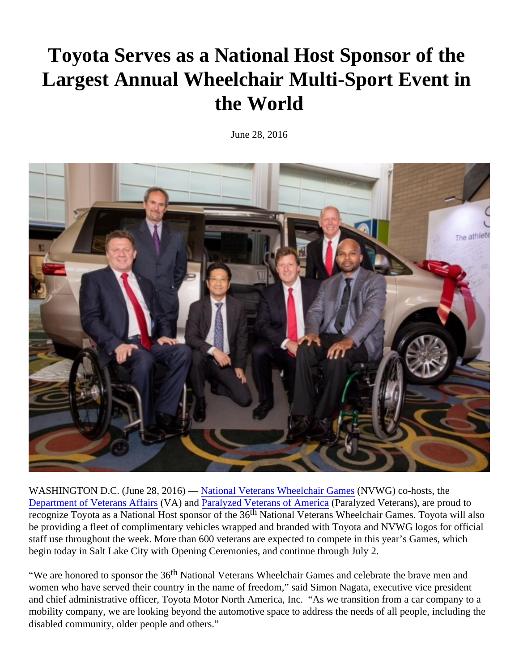## Toyota Serves as a National Host Sponsor of the Largest Annual Wheelchair Multi-Sport Event in the World

June 28, 2016

WASHINGTOND.C. (June 28, 2016) A Hational Veterans Wheelchair Gam (NBVWG) co-hosts, the [Department of Veterans Affa](http://www.va.gov/adaptivesports/)i(VA) and [Paralyzed Veterans of Amer](http://www.pva.org/site/c.ajIRK9NJLcJ2E/b.6305401/k.27D1/Paralyzed_Veterans_of_America.htm)ica alyzed Veterans), are proud to recognize Toyota as a National Host sponsor of the 36 th National Veterans Wheelchair Games. Toyota will also be providing a fleet of complimentary vehicles wrapped and branded with Toyota and NVWG logos for official staff use throughout the week. More than 600 veterans are expected to compete in this year's Games, which begin today in Salt Lake City with Opening Ceremonies, and continue through July 2.

"We are honored to sponsor the<sup>th</sup>3National Veterans Wheelchair Games and celebrate the brave men and women who have served their country in the name of freedom," said Simon Nagata, executive vice president and chief administrative officer, Toyota Motor North America, Inc. "As we transition from a car company to a mobility company, we are looking beyond the automotive space to address the needs of all people, including disabled community, older people and others."